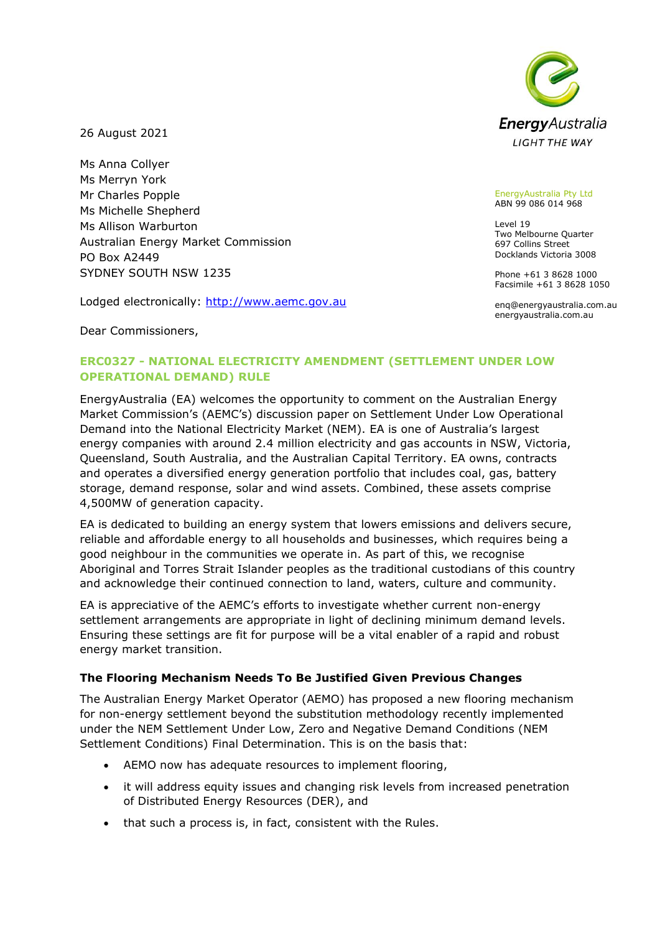

26 August 2021

Ms Anna Collyer Ms Merryn York Mr Charles Popple Ms Michelle Shepherd Ms Allison Warburton Australian Energy Market Commission PO Box A2449 SYDNEY SOUTH NSW 1235

Lodged electronically: http://www.aemc.gov.au

EnergyAustralia Pty Ltd ABN 99 086 014 968

Level 19 Two Melbourne Quarter 697 Collins Street Docklands Victoria 3008

Phone +61 3 8628 1000 Facsimile +61 3 8628 1050

enq@energyaustralia.com.au energyaustralia.com.au

Dear Commissioners,

## **ERC0327 - NATIONAL ELECTRICITY AMENDMENT (SETTLEMENT UNDER LOW OPERATIONAL DEMAND) RULE**

EnergyAustralia (EA) welcomes the opportunity to comment on the Australian Energy Market Commission's (AEMC's) discussion paper on Settlement Under Low Operational Demand into the National Electricity Market (NEM). EA is one of Australia's largest energy companies with around 2.4 million electricity and gas accounts in NSW, Victoria, Queensland, South Australia, and the Australian Capital Territory. EA owns, contracts and operates a diversified energy generation portfolio that includes coal, gas, battery storage, demand response, solar and wind assets. Combined, these assets comprise 4,500MW of generation capacity.

EA is dedicated to building an energy system that lowers emissions and delivers secure, reliable and affordable energy to all households and businesses, which requires being a good neighbour in the communities we operate in. As part of this, we recognise Aboriginal and Torres Strait Islander peoples as the traditional custodians of this country and acknowledge their continued connection to land, waters, culture and community.

EA is appreciative of the AEMC's efforts to investigate whether current non-energy settlement arrangements are appropriate in light of declining minimum demand levels. Ensuring these settings are fit for purpose will be a vital enabler of a rapid and robust energy market transition.

## **The Flooring Mechanism Needs To Be Justified Given Previous Changes**

The Australian Energy Market Operator (AEMO) has proposed a new flooring mechanism for non-energy settlement beyond the substitution methodology recently implemented under the NEM Settlement Under Low, Zero and Negative Demand Conditions (NEM Settlement Conditions) Final Determination. This is on the basis that:

- AEMO now has adequate resources to implement flooring,
- it will address equity issues and changing risk levels from increased penetration of Distributed Energy Resources (DER), and
- that such a process is, in fact, consistent with the Rules.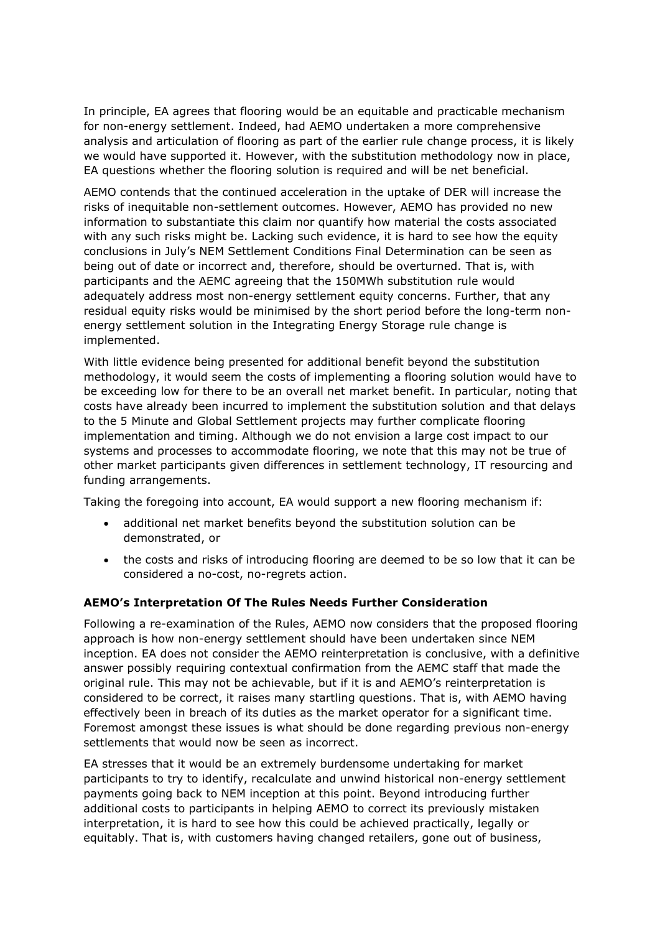In principle, EA agrees that flooring would be an equitable and practicable mechanism for non-energy settlement. Indeed, had AEMO undertaken a more comprehensive analysis and articulation of flooring as part of the earlier rule change process, it is likely we would have supported it. However, with the substitution methodology now in place, EA questions whether the flooring solution is required and will be net beneficial.

AEMO contends that the continued acceleration in the uptake of DER will increase the risks of inequitable non-settlement outcomes. However, AEMO has provided no new information to substantiate this claim nor quantify how material the costs associated with any such risks might be. Lacking such evidence, it is hard to see how the equity conclusions in July's NEM Settlement Conditions Final Determination can be seen as being out of date or incorrect and, therefore, should be overturned. That is, with participants and the AEMC agreeing that the 150MWh substitution rule would adequately address most non-energy settlement equity concerns. Further, that any residual equity risks would be minimised by the short period before the long-term nonenergy settlement solution in the Integrating Energy Storage rule change is implemented.

With little evidence being presented for additional benefit beyond the substitution methodology, it would seem the costs of implementing a flooring solution would have to be exceeding low for there to be an overall net market benefit. In particular, noting that costs have already been incurred to implement the substitution solution and that delays to the 5 Minute and Global Settlement projects may further complicate flooring implementation and timing. Although we do not envision a large cost impact to our systems and processes to accommodate flooring, we note that this may not be true of other market participants given differences in settlement technology, IT resourcing and funding arrangements.

Taking the foregoing into account, EA would support a new flooring mechanism if:

- additional net market benefits beyond the substitution solution can be demonstrated, or
- the costs and risks of introducing flooring are deemed to be so low that it can be considered a no-cost, no-regrets action.

## **AEMO's Interpretation Of The Rules Needs Further Consideration**

Following a re-examination of the Rules, AEMO now considers that the proposed flooring approach is how non-energy settlement should have been undertaken since NEM inception. EA does not consider the AEMO reinterpretation is conclusive, with a definitive answer possibly requiring contextual confirmation from the AEMC staff that made the original rule. This may not be achievable, but if it is and AEMO's reinterpretation is considered to be correct, it raises many startling questions. That is, with AEMO having effectively been in breach of its duties as the market operator for a significant time. Foremost amongst these issues is what should be done regarding previous non-energy settlements that would now be seen as incorrect.

EA stresses that it would be an extremely burdensome undertaking for market participants to try to identify, recalculate and unwind historical non-energy settlement payments going back to NEM inception at this point. Beyond introducing further additional costs to participants in helping AEMO to correct its previously mistaken interpretation, it is hard to see how this could be achieved practically, legally or equitably. That is, with customers having changed retailers, gone out of business,